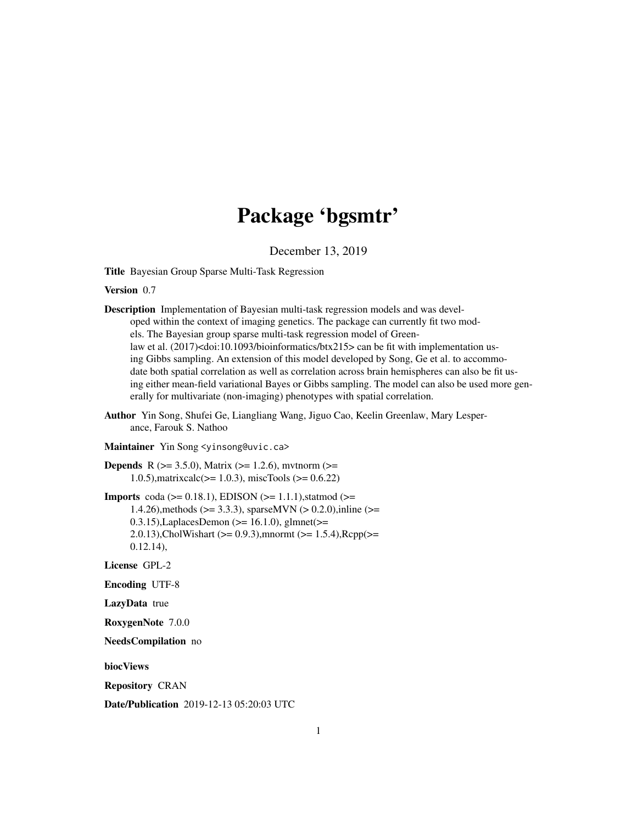# Package 'bgsmtr'

December 13, 2019

Title Bayesian Group Sparse Multi-Task Regression

Version 0.7

Description Implementation of Bayesian multi-task regression models and was developed within the context of imaging genetics. The package can currently fit two models. The Bayesian group sparse multi-task regression model of Greenlaw et al. (2017)<doi:10.1093/bioinformatics/btx215> can be fit with implementation using Gibbs sampling. An extension of this model developed by Song, Ge et al. to accommodate both spatial correlation as well as correlation across brain hemispheres can also be fit using either mean-field variational Bayes or Gibbs sampling. The model can also be used more generally for multivariate (non-imaging) phenotypes with spatial correlation.

- Author Yin Song, Shufei Ge, Liangliang Wang, Jiguo Cao, Keelin Greenlaw, Mary Lesperance, Farouk S. Nathoo
- Maintainer Yin Song <yinsong@uvic.ca>

**Depends** R ( $>= 3.5.0$ ), Matrix ( $>= 1.2.6$ ), mytnorm ( $>= 1.2.6$ ) 1.0.5), matrixcalc( $>= 1.0.3$ ), miscTools ( $>= 0.6.22$ )

**Imports** coda ( $>= 0.18.1$ ), EDISON ( $>= 1.1.1$ ), statmod ( $>= 1.1.1$ ) 1.4.26),methods (>= 3.3.3), sparseMVN (> 0.2.0),inline (>= 0.3.15), Laplaces Demon ( $>= 16.1.0$ ), glmnet ( $>= 0.3.15$ ), Laplaces Demon ( $>= 16.1.0$ ), glmnet ( $>= 0.3.15$ ) 2.0.13),CholWishart ( $> = 0.9.3$ ),mnormt ( $>= 1.5.4$ ),Rcpp( $>=$ 0.12.14),

License GPL-2

Encoding UTF-8

LazyData true

RoxygenNote 7.0.0

NeedsCompilation no

biocViews

Repository CRAN

Date/Publication 2019-12-13 05:20:03 UTC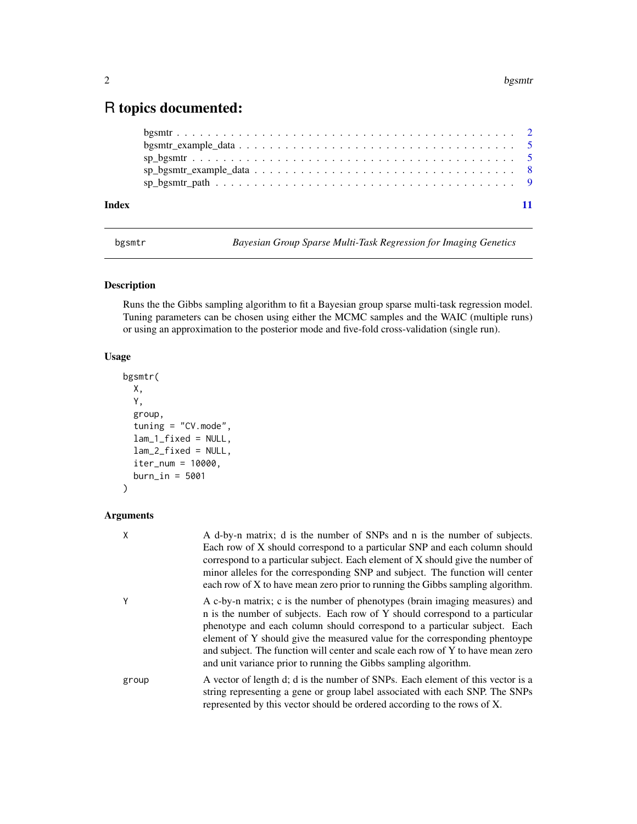# <span id="page-1-0"></span>R topics documented:

| Index |  |  |
|-------|--|--|

bgsmtr *Bayesian Group Sparse Multi-Task Regression for Imaging Genetics*

# Description

Runs the the Gibbs sampling algorithm to fit a Bayesian group sparse multi-task regression model. Tuning parameters can be chosen using either the MCMC samples and the WAIC (multiple runs) or using an approximation to the posterior mode and five-fold cross-validation (single run).

# Usage

```
bgsmtr(
 X,
  Y,
  group,
  tuning = "CV.mode",
 lam_1_fixed = NULL,
 lam_2_fixed = NULL,
 iter_num = 10000,
 burn_in = 5001
)
```
# Arguments

| Χ     | A d-by-n matrix; d is the number of SNPs and n is the number of subjects.<br>Each row of X should correspond to a particular SNP and each column should<br>correspond to a particular subject. Each element of X should give the number of<br>minor alleles for the corresponding SNP and subject. The function will center<br>each row of X to have mean zero prior to running the Gibbs sampling algorithm.                                                                  |
|-------|--------------------------------------------------------------------------------------------------------------------------------------------------------------------------------------------------------------------------------------------------------------------------------------------------------------------------------------------------------------------------------------------------------------------------------------------------------------------------------|
| Υ     | A c-by-n matrix; c is the number of phenotypes (brain imaging measures) and<br>n is the number of subjects. Each row of Y should correspond to a particular<br>phenotype and each column should correspond to a particular subject. Each<br>element of Y should give the measured value for the corresponding phentoype<br>and subject. The function will center and scale each row of Y to have mean zero<br>and unit variance prior to running the Gibbs sampling algorithm. |
| group | A vector of length d; d is the number of SNPs. Each element of this vector is a<br>string representing a gene or group label associated with each SNP. The SNPs<br>represented by this vector should be ordered according to the rows of X.                                                                                                                                                                                                                                    |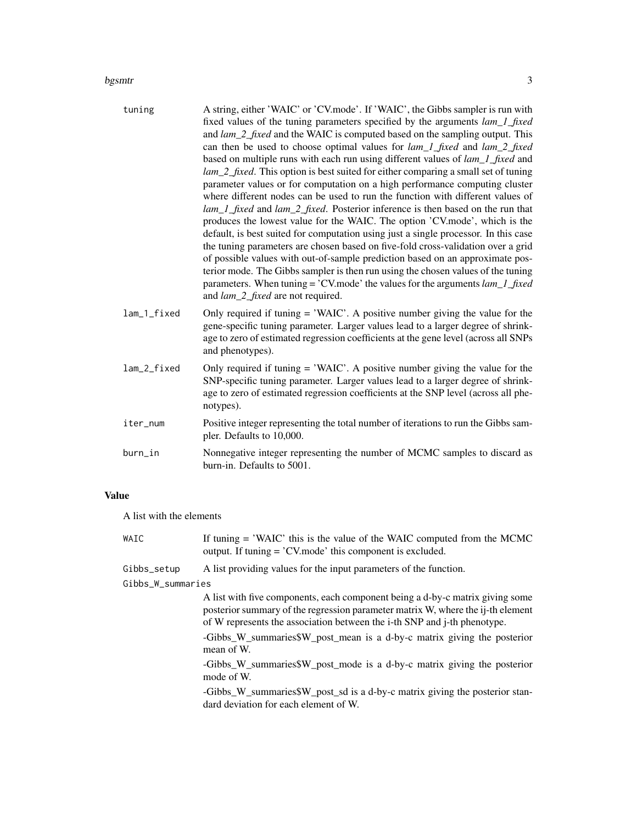### bgsmtr 3

| tuning      | A string, either 'WAIC' or 'CV.mode'. If 'WAIC', the Gibbs sampler is run with<br>fixed values of the tuning parameters specified by the arguments lam_1_fixed<br>and lam_2_fixed and the WAIC is computed based on the sampling output. This<br>can then be used to choose optimal values for lam_1_fixed and lam_2_fixed<br>based on multiple runs with each run using different values of <i>lam_1_fixed</i> and<br>lam_2_fixed. This option is best suited for either comparing a small set of tuning<br>parameter values or for computation on a high performance computing cluster<br>where different nodes can be used to run the function with different values of<br>lam_1_fixed and lam_2_fixed. Posterior inference is then based on the run that<br>produces the lowest value for the WAIC. The option 'CV.mode', which is the<br>default, is best suited for computation using just a single processor. In this case<br>the tuning parameters are chosen based on five-fold cross-validation over a grid<br>of possible values with out-of-sample prediction based on an approximate pos-<br>terior mode. The Gibbs sampler is then run using the chosen values of the tuning<br>parameters. When tuning = 'CV.mode' the values for the arguments $lam_l$ fixed<br>and lam_2_fixed are not required. |
|-------------|-------------------------------------------------------------------------------------------------------------------------------------------------------------------------------------------------------------------------------------------------------------------------------------------------------------------------------------------------------------------------------------------------------------------------------------------------------------------------------------------------------------------------------------------------------------------------------------------------------------------------------------------------------------------------------------------------------------------------------------------------------------------------------------------------------------------------------------------------------------------------------------------------------------------------------------------------------------------------------------------------------------------------------------------------------------------------------------------------------------------------------------------------------------------------------------------------------------------------------------------------------------------------------------------------------------------|
| lam_1_fixed | Only required if tuning $=$ 'WAIC'. A positive number giving the value for the<br>gene-specific tuning parameter. Larger values lead to a larger degree of shrink-<br>age to zero of estimated regression coefficients at the gene level (across all SNPs<br>and phenotypes).                                                                                                                                                                                                                                                                                                                                                                                                                                                                                                                                                                                                                                                                                                                                                                                                                                                                                                                                                                                                                                     |
| lam_2_fixed | Only required if tuning $=$ 'WAIC'. A positive number giving the value for the<br>SNP-specific tuning parameter. Larger values lead to a larger degree of shrink-<br>age to zero of estimated regression coefficients at the SNP level (across all phe-<br>notypes).                                                                                                                                                                                                                                                                                                                                                                                                                                                                                                                                                                                                                                                                                                                                                                                                                                                                                                                                                                                                                                              |
| iter_num    | Positive integer representing the total number of iterations to run the Gibbs sam-<br>pler. Defaults to 10,000.                                                                                                                                                                                                                                                                                                                                                                                                                                                                                                                                                                                                                                                                                                                                                                                                                                                                                                                                                                                                                                                                                                                                                                                                   |
| burn_in     | Nonnegative integer representing the number of MCMC samples to discard as<br>burn-in. Defaults to 5001.                                                                                                                                                                                                                                                                                                                                                                                                                                                                                                                                                                                                                                                                                                                                                                                                                                                                                                                                                                                                                                                                                                                                                                                                           |

# Value

A list with the elements

| WAIC              | If tuning $=$ 'WAIC' this is the value of the WAIC computed from the MCMC<br>output. If tuning = 'CV, mode' this component is excluded.                                                                                                                                                                                               |  |  |
|-------------------|---------------------------------------------------------------------------------------------------------------------------------------------------------------------------------------------------------------------------------------------------------------------------------------------------------------------------------------|--|--|
| Gibbs_setup       | A list providing values for the input parameters of the function.                                                                                                                                                                                                                                                                     |  |  |
| Gibbs_W_summaries |                                                                                                                                                                                                                                                                                                                                       |  |  |
|                   | A list with five components, each component being a d-by-c matrix giving some<br>posterior summary of the regression parameter matrix W, where the ij-th element<br>of W represents the association between the i-th SNP and j-th phenotype.<br>-Gibbs_W_summaries\$W_post_mean is a d-by-c matrix giving the posterior<br>mean of W. |  |  |
|                   | -Gibbs_W_summaries\$W_post_mode is a d-by-c matrix giving the posterior<br>mode of W.                                                                                                                                                                                                                                                 |  |  |
|                   | -Gibbs_W_summaries\$W_post_sd is a d-by-c matrix giving the posterior stan-<br>dard deviation for each element of W.                                                                                                                                                                                                                  |  |  |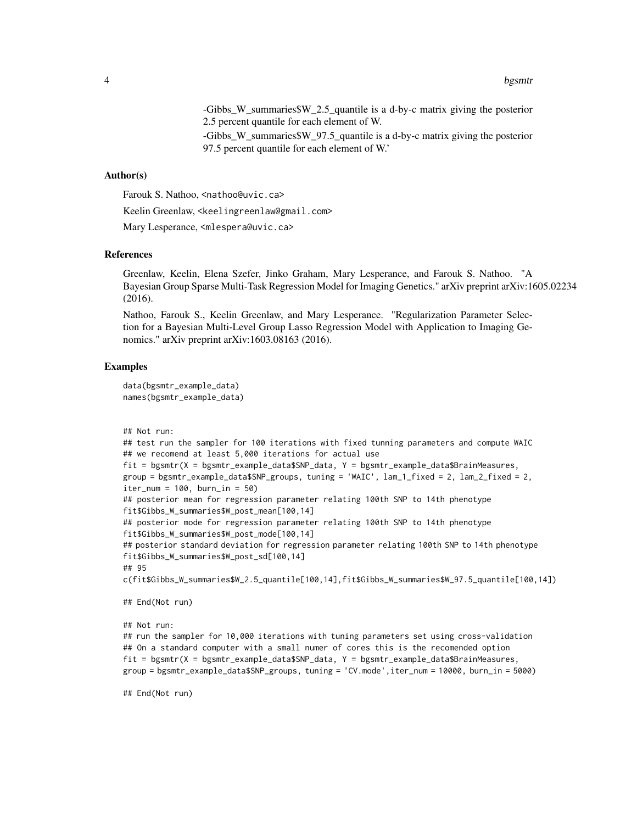-Gibbs\_W\_summaries\$W\_2.5\_quantile is a d-by-c matrix giving the posterior 2.5 percent quantile for each element of W.

-Gibbs\_W\_summaries\$W\_97.5\_quantile is a d-by-c matrix giving the posterior 97.5 percent quantile for each element of W.'

#### Author(s)

Farouk S. Nathoo, <nathoo@uvic.ca>

Keelin Greenlaw, <keelingreenlaw@gmail.com>

Mary Lesperance, <mlespera@uvic.ca>

### References

Greenlaw, Keelin, Elena Szefer, Jinko Graham, Mary Lesperance, and Farouk S. Nathoo. "A Bayesian Group Sparse Multi-Task Regression Model for Imaging Genetics." arXiv preprint arXiv:1605.02234 (2016).

Nathoo, Farouk S., Keelin Greenlaw, and Mary Lesperance. "Regularization Parameter Selection for a Bayesian Multi-Level Group Lasso Regression Model with Application to Imaging Genomics." arXiv preprint arXiv:1603.08163 (2016).

# Examples

```
data(bgsmtr_example_data)
names(bgsmtr_example_data)
```

```
## Not run:
```

```
## test run the sampler for 100 iterations with fixed tunning parameters and compute WAIC
## we recomend at least 5,000 iterations for actual use
fit = bgsmtr(X = bgsmtr_example_data$SNP_data, Y = bgsmtr_example_data$BrainMeasures,
group = bgsmtr_example_data$SNP_groups, tuning = 'WAIC', lam_1_fixed = 2, lam_2_fixed = 2,
iter\_num = 100, burn\_in = 50## posterior mean for regression parameter relating 100th SNP to 14th phenotype
fit$Gibbs_W_summaries$W_post_mean[100,14]
## posterior mode for regression parameter relating 100th SNP to 14th phenotype
fit$Gibbs_W_summaries$W_post_mode[100,14]
## posterior standard deviation for regression parameter relating 100th SNP to 14th phenotype
fit$Gibbs_W_summaries$W_post_sd[100,14]
## 95
c(fit$Gibbs_W_summaries$W_2.5_quantile[100,14],fit$Gibbs_W_summaries$W_97.5_quantile[100,14])
```
## End(Not run)

## Not run:

```
## run the sampler for 10,000 iterations with tuning parameters set using cross-validation
## On a standard computer with a small numer of cores this is the recomended option
fit = bgsmtr(X = bgsmtr_example_data$SNP_data, Y = bgsmtr_example_data$BrainMeasures,
group = bgsmtr_example_data$SNP_groups, tuning = 'CV.mode',iter_num = 10000, burn_in = 5000)
```
## End(Not run)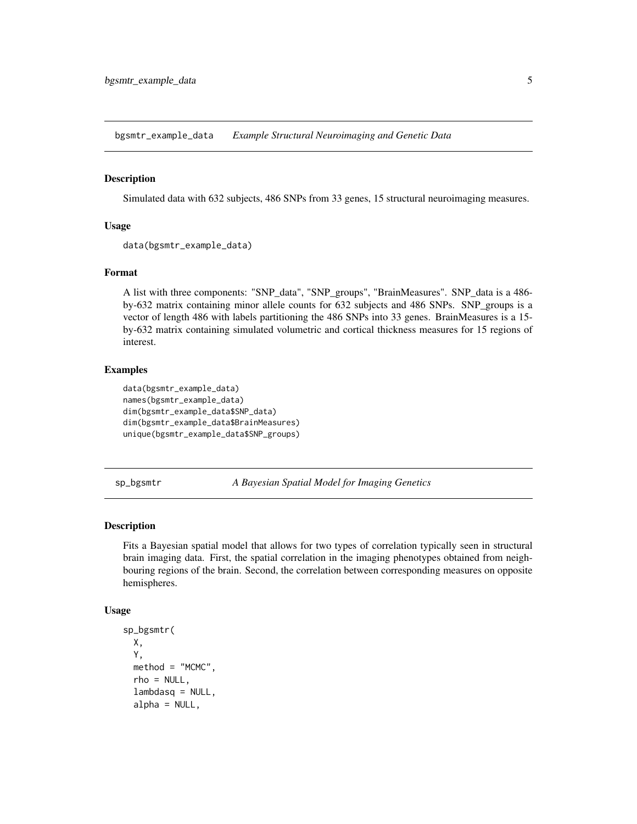<span id="page-4-0"></span>bgsmtr\_example\_data *Example Structural Neuroimaging and Genetic Data*

### Description

Simulated data with 632 subjects, 486 SNPs from 33 genes, 15 structural neuroimaging measures.

# Usage

```
data(bgsmtr_example_data)
```
# Format

A list with three components: "SNP\_data", "SNP\_groups", "BrainMeasures". SNP\_data is a 486 by-632 matrix containing minor allele counts for 632 subjects and 486 SNPs. SNP\_groups is a vector of length 486 with labels partitioning the 486 SNPs into 33 genes. BrainMeasures is a 15 by-632 matrix containing simulated volumetric and cortical thickness measures for 15 regions of interest.

# Examples

```
data(bgsmtr_example_data)
names(bgsmtr_example_data)
dim(bgsmtr_example_data$SNP_data)
dim(bgsmtr_example_data$BrainMeasures)
unique(bgsmtr_example_data$SNP_groups)
```
sp\_bgsmtr *A Bayesian Spatial Model for Imaging Genetics*

# Description

Fits a Bayesian spatial model that allows for two types of correlation typically seen in structural brain imaging data. First, the spatial correlation in the imaging phenotypes obtained from neighbouring regions of the brain. Second, the correlation between corresponding measures on opposite hemispheres.

#### Usage

```
sp_bgsmtr(
 X,
  Y,
 method = "MCMC".rho = NULL,lambdasq = NULL,alpha = NULL,
```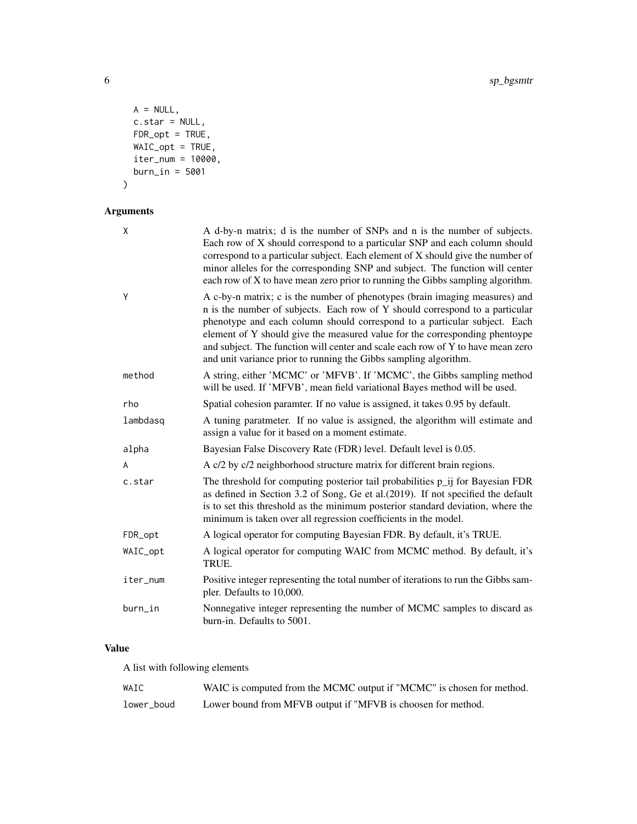```
A = NULL,c.star = NULL,
 FDR\_opt = TRUE,WAIC_opt = TRUE,
 iter\_num = 10000,burn_in = 5001
\mathcal{L}
```
Arguments

| X        | A d-by-n matrix; d is the number of SNPs and n is the number of subjects.<br>Each row of X should correspond to a particular SNP and each column should<br>correspond to a particular subject. Each element of X should give the number of<br>minor alleles for the corresponding SNP and subject. The function will center<br>each row of X to have mean zero prior to running the Gibbs sampling algorithm.                                                                  |
|----------|--------------------------------------------------------------------------------------------------------------------------------------------------------------------------------------------------------------------------------------------------------------------------------------------------------------------------------------------------------------------------------------------------------------------------------------------------------------------------------|
| Y        | A c-by-n matrix; c is the number of phenotypes (brain imaging measures) and<br>n is the number of subjects. Each row of Y should correspond to a particular<br>phenotype and each column should correspond to a particular subject. Each<br>element of Y should give the measured value for the corresponding phentoype<br>and subject. The function will center and scale each row of Y to have mean zero<br>and unit variance prior to running the Gibbs sampling algorithm. |
| method   | A string, either 'MCMC' or 'MFVB'. If 'MCMC', the Gibbs sampling method<br>will be used. If 'MFVB', mean field variational Bayes method will be used.                                                                                                                                                                                                                                                                                                                          |
| rho      | Spatial cohesion paramter. If no value is assigned, it takes 0.95 by default.                                                                                                                                                                                                                                                                                                                                                                                                  |
| lambdasq | A tuning paratmeter. If no value is assigned, the algorithm will estimate and<br>assign a value for it based on a moment estimate.                                                                                                                                                                                                                                                                                                                                             |
| alpha    | Bayesian False Discovery Rate (FDR) level. Default level is 0.05.                                                                                                                                                                                                                                                                                                                                                                                                              |
| A        | A c/2 by c/2 neighborhood structure matrix for different brain regions.                                                                                                                                                                                                                                                                                                                                                                                                        |
| c.star   | The threshold for computing posterior tail probabilities p_ij for Bayesian FDR<br>as defined in Section 3.2 of Song, Ge et al.(2019). If not specified the default<br>is to set this threshold as the minimum posterior standard deviation, where the<br>minimum is taken over all regression coefficients in the model.                                                                                                                                                       |
| FDR_opt  | A logical operator for computing Bayesian FDR. By default, it's TRUE.                                                                                                                                                                                                                                                                                                                                                                                                          |
| WAIC_opt | A logical operator for computing WAIC from MCMC method. By default, it's<br>TRUE.                                                                                                                                                                                                                                                                                                                                                                                              |
| iter_num | Positive integer representing the total number of iterations to run the Gibbs sam-<br>pler. Defaults to 10,000.                                                                                                                                                                                                                                                                                                                                                                |
| burn_in  | Nonnegative integer representing the number of MCMC samples to discard as<br>burn-in. Defaults to 5001.                                                                                                                                                                                                                                                                                                                                                                        |

# Value

A list with following elements

| WAIC       | WAIC is computed from the MCMC output if "MCMC" is chosen for method. |
|------------|-----------------------------------------------------------------------|
| lower_boud | Lower bound from MFVB output if "MFVB is choosen for method.          |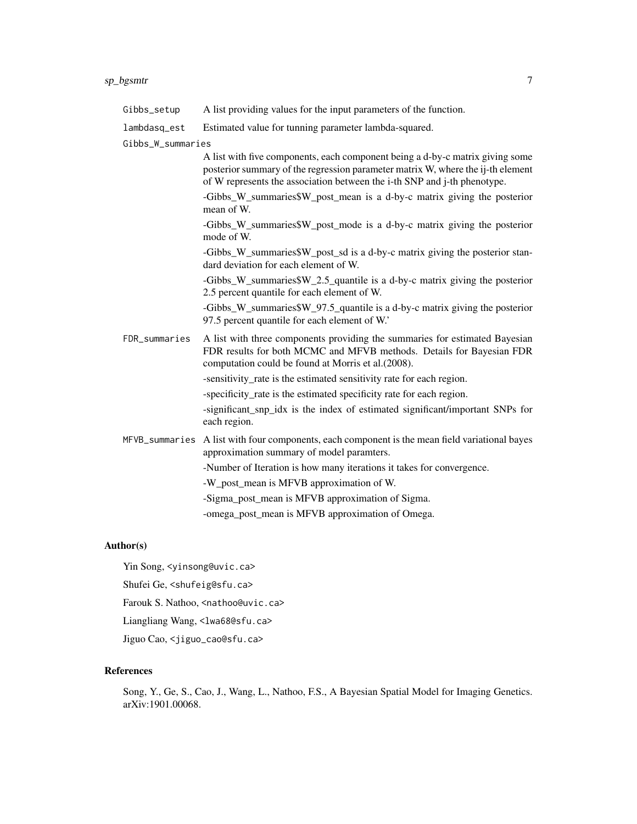# sp\_bgsmtr 7

# lambdasq\_est Estimated value for tunning parameter lambda-squared.

Gibbs\_W\_summaries

A list with five components, each component being a d-by-c matrix giving some posterior summary of the regression parameter matrix W, where the ij-th element of W represents the association between the i-th SNP and j-th phenotype.

-Gibbs\_W\_summaries\$W\_post\_mean is a d-by-c matrix giving the posterior mean of W.

-Gibbs\_W\_summaries\$W\_post\_mode is a d-by-c matrix giving the posterior mode of W.

-Gibbs\_W\_summaries\$W\_post\_sd is a d-by-c matrix giving the posterior standard deviation for each element of W.

-Gibbs\_W\_summaries\$W\_2.5\_quantile is a d-by-c matrix giving the posterior 2.5 percent quantile for each element of W.

-Gibbs\_W\_summaries\$W\_97.5\_quantile is a d-by-c matrix giving the posterior 97.5 percent quantile for each element of W.'

FDR\_summaries A list with three components providing the summaries for estimated Bayesian FDR results for both MCMC and MFVB methods. Details for Bayesian FDR computation could be found at Morris et al.(2008).

-sensitivity\_rate is the estimated sensitivity rate for each region.

-specificity\_rate is the estimated specificity rate for each region.

-significant snp idx is the index of estimated significant/important SNPs for each region.

- MFVB\_summaries A list with four components, each component is the mean field variational bayes approximation summary of model paramters.
	- -Number of Iteration is how many iterations it takes for convergence.

-W\_post\_mean is MFVB approximation of W.

-Sigma\_post\_mean is MFVB approximation of Sigma.

-omega\_post\_mean is MFVB approximation of Omega.

# Author(s)

Yin Song, <yinsong@uvic.ca>

Shufei Ge, <shufeig@sfu.ca>

Farouk S. Nathoo, <nathoo@uvic.ca>

Liangliang Wang, <lwa68@sfu.ca>

Jiguo Cao, <jiguo\_cao@sfu.ca>

# References

Song, Y., Ge, S., Cao, J., Wang, L., Nathoo, F.S., A Bayesian Spatial Model for Imaging Genetics. arXiv:1901.00068.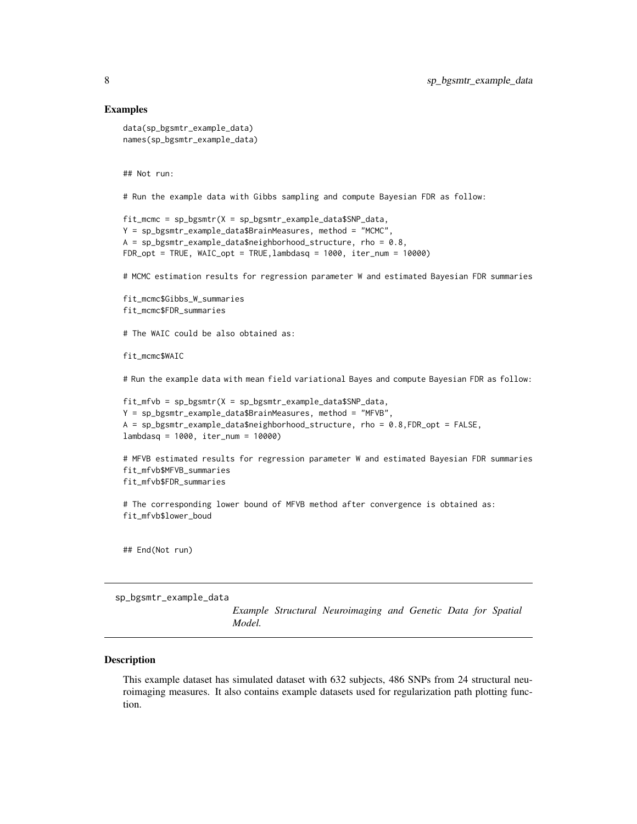### Examples

```
data(sp_bgsmtr_example_data)
names(sp_bgsmtr_example_data)
```
## Not run:

# Run the example data with Gibbs sampling and compute Bayesian FDR as follow:

```
fit_mcmc = sp_bgsmtr(X = sp_bgsmtr_example_data$SNP_data,
Y = sp_bgsmtr_example_data$BrainMeasures, method = "MCMC",
A = sp_bgsmtr\_example_data\$neighbourhood_structure, rho = 0.8,FDR\_opt = TRUE, WAIC\_opt = TRUE, lambda_{SR} = 1000, iter\_num = 10000
```
# MCMC estimation results for regression parameter W and estimated Bayesian FDR summaries

```
fit_mcmc$Gibbs_W_summaries
fit_mcmc$FDR_summaries
```
# The WAIC could be also obtained as:

fit\_mcmc\$WAIC

# Run the example data with mean field variational Bayes and compute Bayesian FDR as follow:

```
fit_mfvb = sp_bgsmtr(X = sp_bgsmtr_example_data$SNP_data,
Y = sp_bgsmtr_example_data$BrainMeasures, method = "MFVB",
A = sp_bgsmtr_example_data$neighborhood_structure, rho = 0.8,FDR_opt = FALSE,
lambdasq = 1000, iter_num = 10000)
```

```
# MFVB estimated results for regression parameter W and estimated Bayesian FDR summaries
fit_mfvb$MFVB_summaries
fit_mfvb$FDR_summaries
```
# The corresponding lower bound of MFVB method after convergence is obtained as: fit\_mfvb\$lower\_boud

## End(Not run)

sp\_bgsmtr\_example\_data

*Example Structural Neuroimaging and Genetic Data for Spatial Model.*

#### Description

This example dataset has simulated dataset with 632 subjects, 486 SNPs from 24 structural neuroimaging measures. It also contains example datasets used for regularization path plotting function.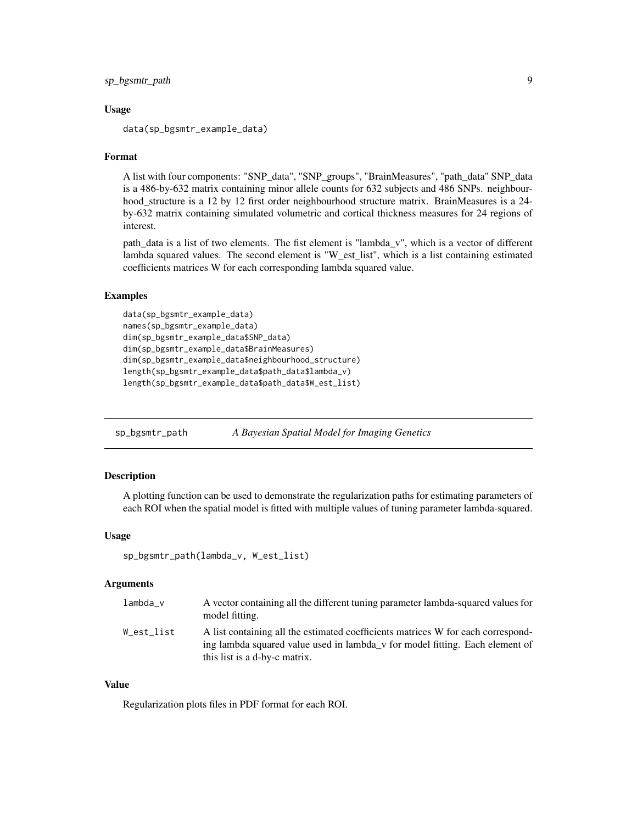```
sp_bgsmtr_path 9
```
### Usage

```
data(sp_bgsmtr_example_data)
```
# Format

A list with four components: "SNP\_data", "SNP\_groups", "BrainMeasures", "path\_data" SNP\_data is a 486-by-632 matrix containing minor allele counts for 632 subjects and 486 SNPs. neighbourhood\_structure is a 12 by 12 first order neighbourhood structure matrix. BrainMeasures is a 24 by-632 matrix containing simulated volumetric and cortical thickness measures for 24 regions of interest.

path\_data is a list of two elements. The fist element is "lambda\_v", which is a vector of different lambda squared values. The second element is "W\_est\_list", which is a list containing estimated coefficients matrices W for each corresponding lambda squared value.

# Examples

```
data(sp_bgsmtr_example_data)
names(sp_bgsmtr_example_data)
dim(sp_bgsmtr_example_data$SNP_data)
dim(sp_bgsmtr_example_data$BrainMeasures)
dim(sp_bgsmtr_example_data$neighbourhood_structure)
length(sp_bgsmtr_example_data$path_data$lambda_v)
length(sp_bgsmtr_example_data$path_data$W_est_list)
```
sp\_bgsmtr\_path *A Bayesian Spatial Model for Imaging Genetics*

# Description

A plotting function can be used to demonstrate the regularization paths for estimating parameters of each ROI when the spatial model is fitted with multiple values of tuning parameter lambda-squared.

# Usage

```
sp_bgsmtr_path(lambda_v, W_est_list)
```
#### Arguments

| lambda_v   | A vector containing all the different tuning parameter lambda-squared values for<br>model fitting.                                                                                                |
|------------|---------------------------------------------------------------------------------------------------------------------------------------------------------------------------------------------------|
| W est list | A list containing all the estimated coefficients matrices W for each correspond-<br>ing lambda squared value used in lambda v for model fitting. Each element of<br>this list is a d-by-c matrix. |

# Value

Regularization plots files in PDF format for each ROI.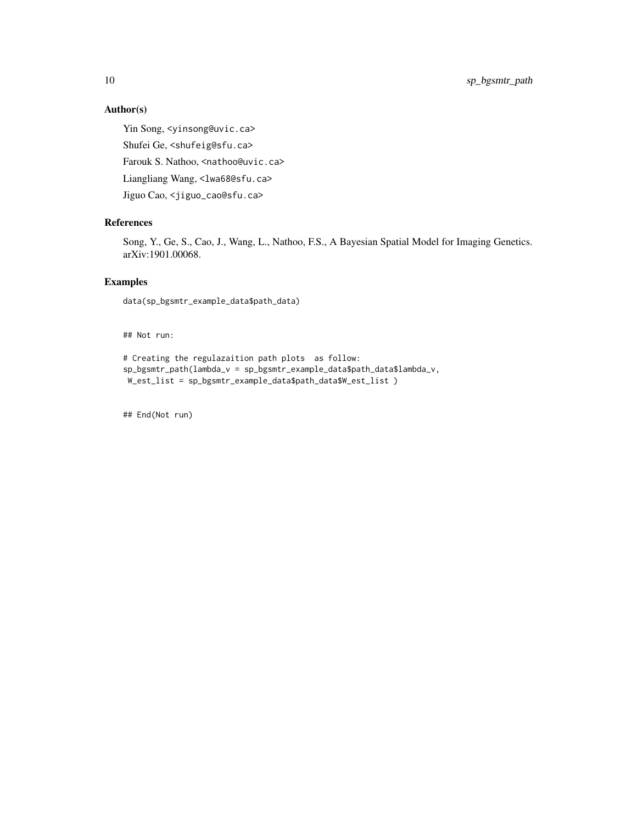10 sp\_bgsmtr\_path

# Author(s)

Yin Song, <yinsong@uvic.ca> Shufei Ge, <shufeig@sfu.ca> Farouk S. Nathoo, <nathoo@uvic.ca> Liangliang Wang, <lwa68@sfu.ca> Jiguo Cao, <jiguo\_cao@sfu.ca>

# References

Song, Y., Ge, S., Cao, J., Wang, L., Nathoo, F.S., A Bayesian Spatial Model for Imaging Genetics. arXiv:1901.00068.

# Examples

data(sp\_bgsmtr\_example\_data\$path\_data)

## Not run:

```
# Creating the regulazaition path plots as follow:
sp_bgsmtr_path(lambda_v = sp_bgsmtr_example_data$path_data$lambda_v,
W_est_list = sp_bgsmtr_example_data$path_data$W_est_list )
```
## End(Not run)